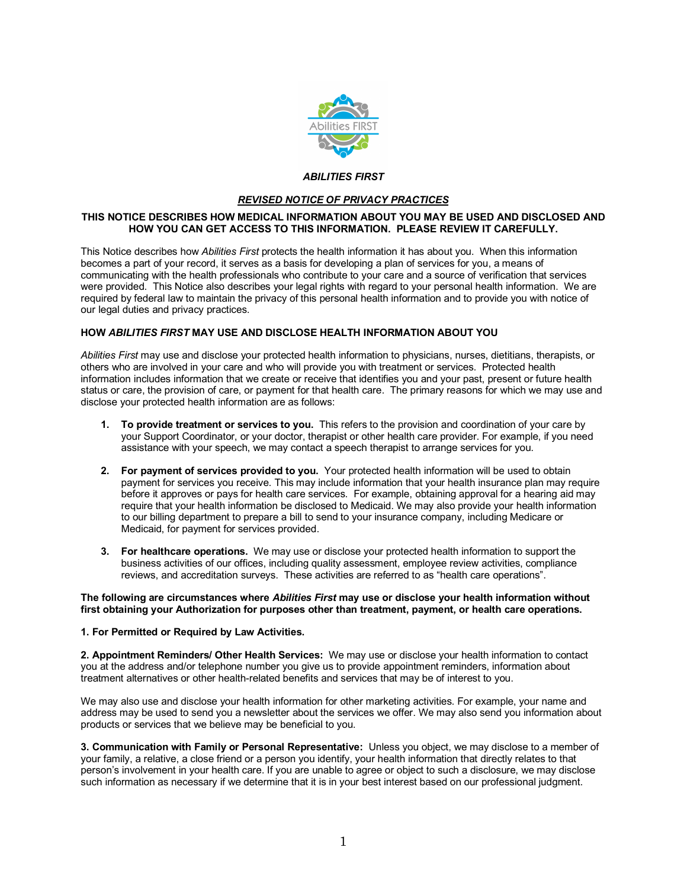

# *ABILITIES FIRST*

# *REVISED NOTICE OF PRIVACY PRACTICES*

# **THIS NOTICE DESCRIBES HOW MEDICAL INFORMATION ABOUT YOU MAY BE USED AND DISCLOSED AND HOW YOU CAN GET ACCESS TO THIS INFORMATION. PLEASE REVIEW IT CAREFULLY.**

This Notice describes how *Abilities First* protects the health information it has about you. When this information becomes a part of your record, it serves as a basis for developing a plan of services for you, a means of communicating with the health professionals who contribute to your care and a source of verification that services were provided. This Notice also describes your legal rights with regard to your personal health information. We are required by federal law to maintain the privacy of this personal health information and to provide you with notice of our legal duties and privacy practices.

## **HOW** *ABILITIES FIRST* **MAY USE AND DISCLOSE HEALTH INFORMATION ABOUT YOU**

*Abilities First* may use and disclose your protected health information to physicians, nurses, dietitians, therapists, or others who are involved in your care and who will provide you with treatment or services. Protected health information includes information that we create or receive that identifies you and your past, present or future health status or care, the provision of care, or payment for that health care. The primary reasons for which we may use and disclose your protected health information are as follows:

- **1. To provide treatment or services to you.** This refers to the provision and coordination of your care by your Support Coordinator, or your doctor, therapist or other health care provider. For example, if you need assistance with your speech, we may contact a speech therapist to arrange services for you.
- **2. For payment of services provided to you.** Your protected health information will be used to obtain payment for services you receive. This may include information that your health insurance plan may require before it approves or pays for health care services. For example, obtaining approval for a hearing aid may require that your health information be disclosed to Medicaid. We may also provide your health information to our billing department to prepare a bill to send to your insurance company, including Medicare or Medicaid, for payment for services provided.
- **3. For healthcare operations.** We may use or disclose your protected health information to support the business activities of our offices, including quality assessment, employee review activities, compliance reviews, and accreditation surveys. These activities are referred to as "health care operations".

# **The following are circumstances where** *Abilities First* **may use or disclose your health information without first obtaining your Authorization for purposes other than treatment, payment, or health care operations.**

# **1. For Permitted or Required by Law Activities.**

**2. Appointment Reminders/ Other Health Services:** We may use or disclose your health information to contact you at the address and/or telephone number you give us to provide appointment reminders, information about treatment alternatives or other health-related benefits and services that may be of interest to you.

We may also use and disclose your health information for other marketing activities. For example, your name and address may be used to send you a newsletter about the services we offer. We may also send you information about products or services that we believe may be beneficial to you.

**3. Communication with Family or Personal Representative:** Unless you object, we may disclose to a member of your family, a relative, a close friend or a person you identify, your health information that directly relates to that person's involvement in your health care. If you are unable to agree or object to such a disclosure, we may disclose such information as necessary if we determine that it is in your best interest based on our professional judgment.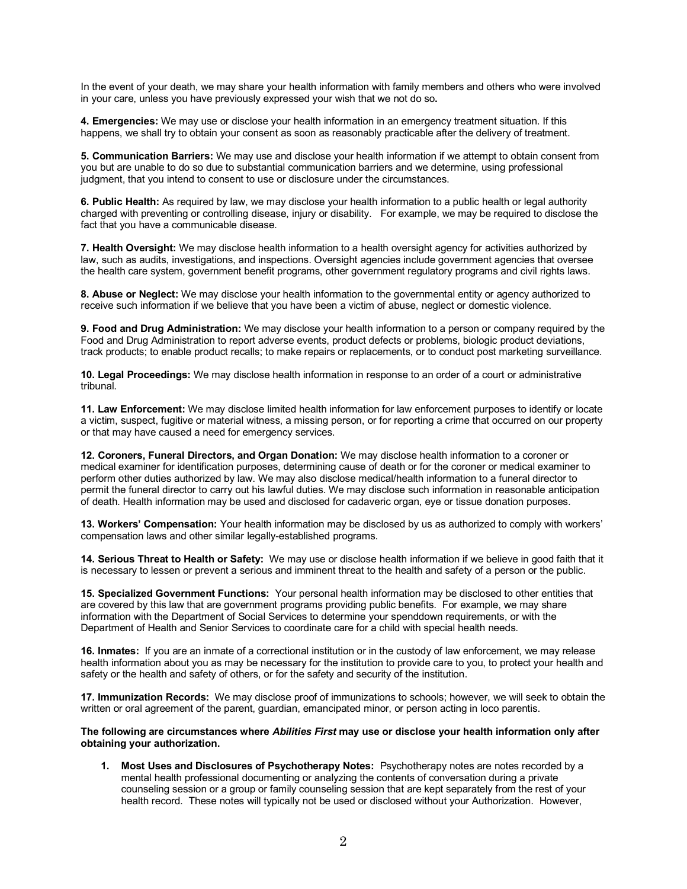In the event of your death, we may share your health information with family members and others who were involved in your care, unless you have previously expressed your wish that we not do so**.** 

**4. Emergencies:** We may use or disclose your health information in an emergency treatment situation. If this happens, we shall try to obtain your consent as soon as reasonably practicable after the delivery of treatment.

**5. Communication Barriers:** We may use and disclose your health information if we attempt to obtain consent from you but are unable to do so due to substantial communication barriers and we determine, using professional judgment, that you intend to consent to use or disclosure under the circumstances.

**6. Public Health:** As required by law, we may disclose your health information to a public health or legal authority charged with preventing or controlling disease, injury or disability. For example, we may be required to disclose the fact that you have a communicable disease.

**7. Health Oversight:** We may disclose health information to a health oversight agency for activities authorized by law, such as audits, investigations, and inspections. Oversight agencies include government agencies that oversee the health care system, government benefit programs, other government regulatory programs and civil rights laws.

**8. Abuse or Neglect:** We may disclose your health information to the governmental entity or agency authorized to receive such information if we believe that you have been a victim of abuse, neglect or domestic violence.

**9. Food and Drug Administration:** We may disclose your health information to a person or company required by the Food and Drug Administration to report adverse events, product defects or problems, biologic product deviations, track products; to enable product recalls; to make repairs or replacements, or to conduct post marketing surveillance.

**10. Legal Proceedings:** We may disclose health information in response to an order of a court or administrative tribunal.

**11. Law Enforcement:** We may disclose limited health information for law enforcement purposes to identify or locate a victim, suspect, fugitive or material witness, a missing person, or for reporting a crime that occurred on our property or that may have caused a need for emergency services.

**12. Coroners, Funeral Directors, and Organ Donation:** We may disclose health information to a coroner or medical examiner for identification purposes, determining cause of death or for the coroner or medical examiner to perform other duties authorized by law. We may also disclose medical/health information to a funeral director to permit the funeral director to carry out his lawful duties. We may disclose such information in reasonable anticipation of death. Health information may be used and disclosed for cadaveric organ, eye or tissue donation purposes.

**13. Workers' Compensation:** Your health information may be disclosed by us as authorized to comply with workers' compensation laws and other similar legally-established programs.

**14. Serious Threat to Health or Safety:** We may use or disclose health information if we believe in good faith that it is necessary to lessen or prevent a serious and imminent threat to the health and safety of a person or the public.

**15. Specialized Government Functions:** Your personal health information may be disclosed to other entities that are covered by this law that are government programs providing public benefits. For example, we may share information with the Department of Social Services to determine your spenddown requirements, or with the Department of Health and Senior Services to coordinate care for a child with special health needs.

**16. Inmates:** If you are an inmate of a correctional institution or in the custody of law enforcement, we may release health information about you as may be necessary for the institution to provide care to you, to protect your health and safety or the health and safety of others, or for the safety and security of the institution.

**17. Immunization Records:** We may disclose proof of immunizations to schools; however, we will seek to obtain the written or oral agreement of the parent, guardian, emancipated minor, or person acting in loco parentis.

**The following are circumstances where** *Abilities First* **may use or disclose your health information only after obtaining your authorization.**

**1. Most Uses and Disclosures of Psychotherapy Notes:** Psychotherapy notes are notes recorded by a mental health professional documenting or analyzing the contents of conversation during a private counseling session or a group or family counseling session that are kept separately from the rest of your health record. These notes will typically not be used or disclosed without your Authorization. However,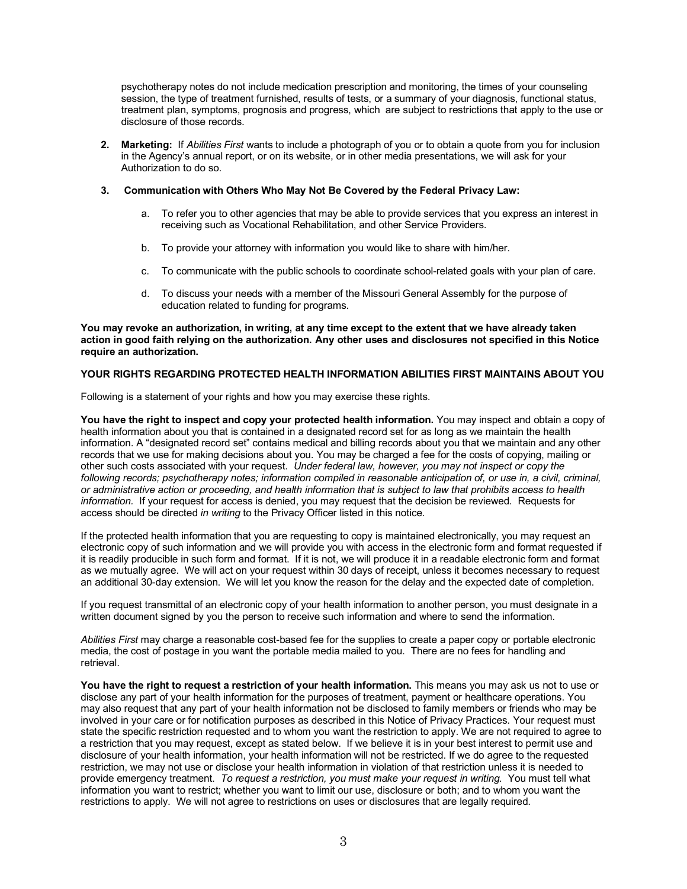psychotherapy notes do not include medication prescription and monitoring, the times of your counseling session, the type of treatment furnished, results of tests, or a summary of your diagnosis, functional status, treatment plan, symptoms, prognosis and progress, which are subject to restrictions that apply to the use or disclosure of those records.

**2. Marketing:** If *Abilities First* wants to include a photograph of you or to obtain a quote from you for inclusion in the Agency's annual report, or on its website, or in other media presentations, we will ask for your Authorization to do so.

#### **3. Communication with Others Who May Not Be Covered by the Federal Privacy Law:**

- a. To refer you to other agencies that may be able to provide services that you express an interest in receiving such as Vocational Rehabilitation, and other Service Providers.
- b. To provide your attorney with information you would like to share with him/her.
- c. To communicate with the public schools to coordinate school-related goals with your plan of care.
- d. To discuss your needs with a member of the Missouri General Assembly for the purpose of education related to funding for programs.

**You may revoke an authorization, in writing, at any time except to the extent that we have already taken action in good faith relying on the authorization. Any other uses and disclosures not specified in this Notice require an authorization.** 

#### **YOUR RIGHTS REGARDING PROTECTED HEALTH INFORMATION ABILITIES FIRST MAINTAINS ABOUT YOU**

Following is a statement of your rights and how you may exercise these rights.

**You have the right to inspect and copy your protected health information.** You may inspect and obtain a copy of health information about you that is contained in a designated record set for as long as we maintain the health information. A "designated record set" contains medical and billing records about you that we maintain and any other records that we use for making decisions about you. You may be charged a fee for the costs of copying, mailing or other such costs associated with your request. *Under federal law, however, you may not inspect or copy the following records; psychotherapy notes; information compiled in reasonable anticipation of, or use in, a civil, criminal, or administrative action or proceeding, and health information that is subject to law that prohibits access to health information.* If your request for access is denied, you may request that the decision be reviewed. Requests for access should be directed *in writing* to the Privacy Officer listed in this notice.

If the protected health information that you are requesting to copy is maintained electronically, you may request an electronic copy of such information and we will provide you with access in the electronic form and format requested if it is readily producible in such form and format. If it is not, we will produce it in a readable electronic form and format as we mutually agree. We will act on your request within 30 days of receipt, unless it becomes necessary to request an additional 30-day extension. We will let you know the reason for the delay and the expected date of completion.

If you request transmittal of an electronic copy of your health information to another person, you must designate in a written document signed by you the person to receive such information and where to send the information.

*Abilities First* may charge a reasonable cost-based fee for the supplies to create a paper copy or portable electronic media, the cost of postage in you want the portable media mailed to you. There are no fees for handling and retrieval.

**You have the right to request a restriction of your health information.** This means you may ask us not to use or disclose any part of your health information for the purposes of treatment, payment or healthcare operations. You may also request that any part of your health information not be disclosed to family members or friends who may be involved in your care or for notification purposes as described in this Notice of Privacy Practices. Your request must state the specific restriction requested and to whom you want the restriction to apply. We are not required to agree to a restriction that you may request, except as stated below. If we believe it is in your best interest to permit use and disclosure of your health information, your health information will not be restricted. If we do agree to the requested restriction, we may not use or disclose your health information in violation of that restriction unless it is needed to provide emergency treatment. *To request a restriction, you must make your request in writing.* You must tell what information you want to restrict; whether you want to limit our use, disclosure or both; and to whom you want the restrictions to apply. We will not agree to restrictions on uses or disclosures that are legally required.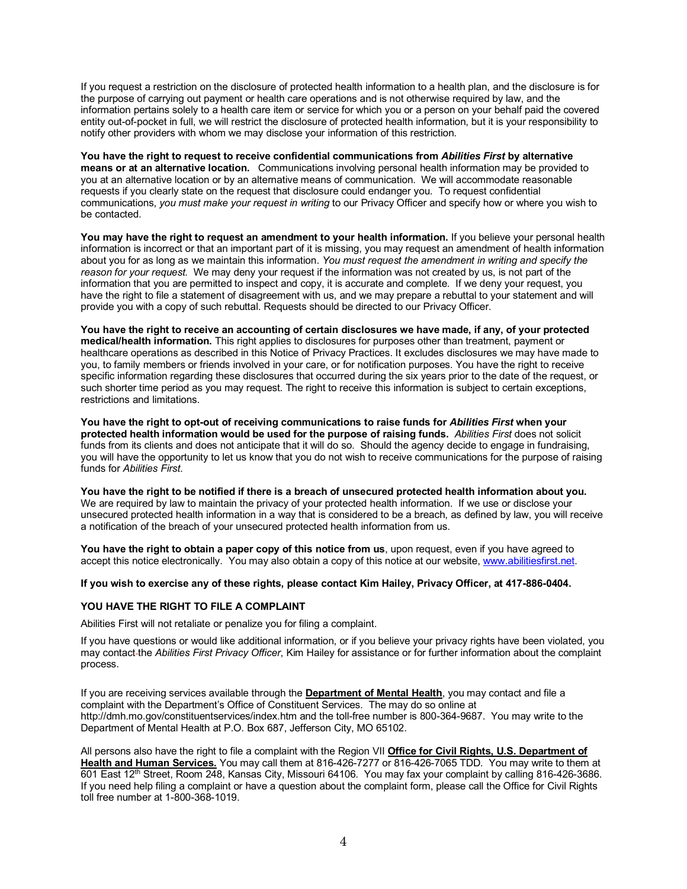If you request a restriction on the disclosure of protected health information to a health plan, and the disclosure is for the purpose of carrying out payment or health care operations and is not otherwise required by law, and the information pertains solely to a health care item or service for which you or a person on your behalf paid the covered entity out-of-pocket in full, we will restrict the disclosure of protected health information, but it is your responsibility to notify other providers with whom we may disclose your information of this restriction.

**You have the right to request to receive confidential communications from** *Abilities First* **by alternative means or at an alternative location.** Communications involving personal health information may be provided to you at an alternative location or by an alternative means of communication. We will accommodate reasonable requests if you clearly state on the request that disclosure could endanger you. To request confidential communications, *you must make your request in writing* to our Privacy Officer and specify how or where you wish to be contacted.

**You may have the right to request an amendment to your health information.** If you believe your personal health information is incorrect or that an important part of it is missing, you may request an amendment of health information about you for as long as we maintain this information. *You must request the amendment in writing and specify the reason for your request.* We may deny your request if the information was not created by us, is not part of the information that you are permitted to inspect and copy, it is accurate and complete. If we deny your request, you have the right to file a statement of disagreement with us, and we may prepare a rebuttal to your statement and will provide you with a copy of such rebuttal. Requests should be directed to our Privacy Officer.

**You have the right to receive an accounting of certain disclosures we have made, if any, of your protected medical/health information.** This right applies to disclosures for purposes other than treatment, payment or healthcare operations as described in this Notice of Privacy Practices. It excludes disclosures we may have made to you, to family members or friends involved in your care, or for notification purposes. You have the right to receive specific information regarding these disclosures that occurred during the six years prior to the date of the request, or such shorter time period as you may request. The right to receive this information is subject to certain exceptions, restrictions and limitations.

**You have the right to opt-out of receiving communications to raise funds for** *Abilities First* **when your protected health information would be used for the purpose of raising funds.** *Abilities First* does not solicit funds from its clients and does not anticipate that it will do so. Should the agency decide to engage in fundraising, you will have the opportunity to let us know that you do not wish to receive communications for the purpose of raising funds for *Abilities First*.

**You have the right to be notified if there is a breach of unsecured protected health information about you.**  We are required by law to maintain the privacy of your protected health information. If we use or disclose your unsecured protected health information in a way that is considered to be a breach, as defined by law, you will receive a notification of the breach of your unsecured protected health information from us.

**You have the right to obtain a paper copy of this notice from us**, upon request, even if you have agreed to accept this notice electronically. You may also obtain a copy of this notice at our website, www.abilitiesfirst.net.

#### **If you wish to exercise any of these rights, please contact Kim Hailey, Privacy Officer, at 417-886-0404.**

## **YOU HAVE THE RIGHT TO FILE A COMPLAINT**

Abilities First will not retaliate or penalize you for filing a complaint.

If you have questions or would like additional information, or if you believe your privacy rights have been violated, you may contact the *Abilities First Privacy Officer*, Kim Hailey for assistance or for further information about the complaint process.

If you are receiving services available through the **Department of Mental Health**, you may contact and file a complaint with the Department's Office of Constituent Services. The may do so online at http://dmh.mo.gov/constituentservices/index.htm and the toll-free number is 800-364-9687. You may write to the Department of Mental Health at P.O. Box 687, Jefferson City, MO 65102.

All persons also have the right to file a complaint with the Region VII **Office for Civil Rights, U.S. Department of Health and Human Services.** You may call them at 816-426-7277 or 816-426-7065 TDD. You may write to them at 601 East 12th Street, Room 248, Kansas City, Missouri 64106. You may fax your complaint by calling 816-426-3686. If you need help filing a complaint or have a question about the complaint form, please call the Office for Civil Rights toll free number at 1-800-368-1019.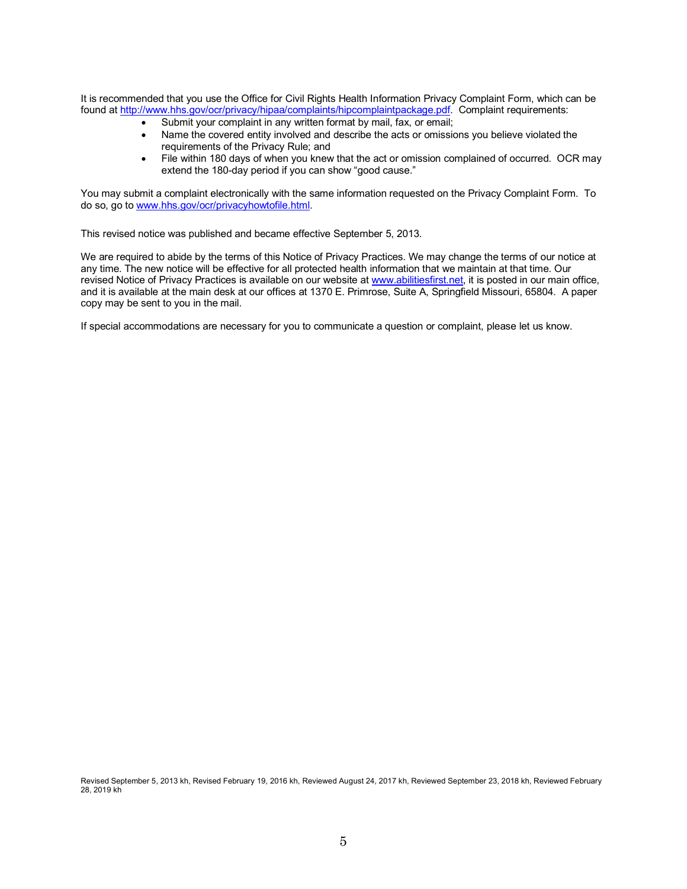It is recommended that you use the Office for Civil Rights Health Information Privacy Complaint Form, which can be found at http://www.hhs.gov/ocr/privacy/hipaa/complaints/hipcomplaintpackage.pdf. Complaint requirements:

- Submit your complaint in any written format by mail, fax, or email;
- Name the covered entity involved and describe the acts or omissions you believe violated the requirements of the Privacy Rule; and
- File within 180 days of when you knew that the act or omission complained of occurred. OCR may extend the 180-day period if you can show "good cause."

You may submit a complaint electronically with the same information requested on the Privacy Complaint Form. To do so, go to www.hhs.gov/ocr/privacyhowtofile.html.

This revised notice was published and became effective September 5, 2013.

We are required to abide by the terms of this Notice of Privacy Practices. We may change the terms of our notice at any time. The new notice will be effective for all protected health information that we maintain at that time. Our revised Notice of Privacy Practices is available on our website at www.abilitiesfirst.net, it is posted in our main office, and it is available at the main desk at our offices at 1370 E. Primrose, Suite A, Springfield Missouri, 65804. A paper copy may be sent to you in the mail.

If special accommodations are necessary for you to communicate a question or complaint, please let us know.

Revised September 5, 2013 kh, Revised February 19, 2016 kh, Reviewed August 24, 2017 kh, Reviewed September 23, 2018 kh, Reviewed February 28, 2019 kh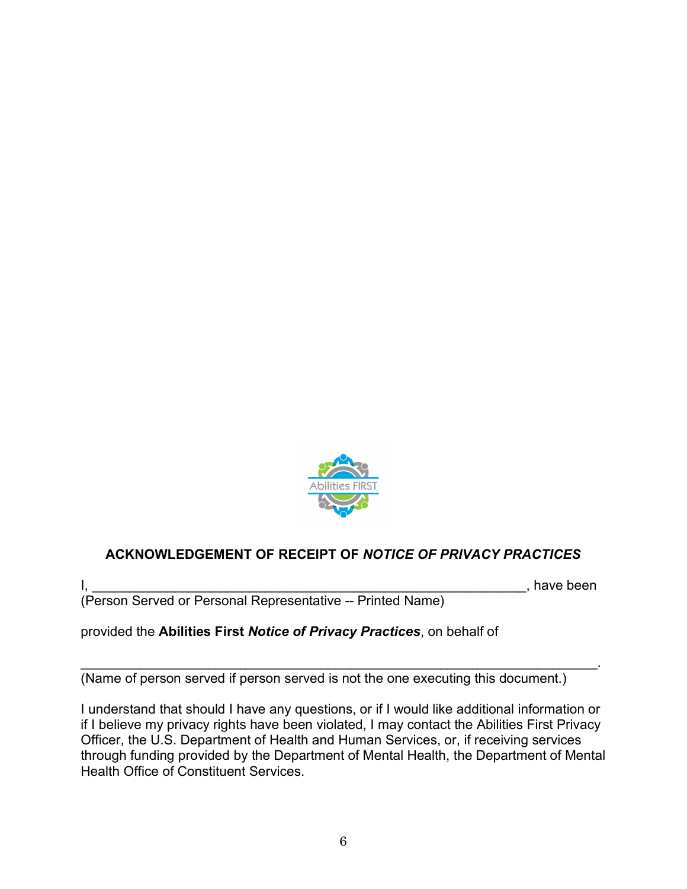

# **ACKNOWLEDGEMENT OF RECEIPT OF** *NOTICE OF PRIVACY PRACTICES*

 $\mathsf{I}, \underline{\hspace{2cm}}, \underline{\hspace{2cm}}, \underline{\hspace{2cm}}, \underline{\hspace{2cm}}$  have been

(Person Served or Personal Representative -- Printed Name)

provided the **Abilities First** *Notice of Privacy Practices*, on behalf of

\_\_\_\_\_\_\_\_\_\_\_\_\_\_\_\_\_\_\_\_\_\_\_\_\_\_\_\_\_\_\_\_\_\_\_\_\_\_\_\_\_\_\_\_\_\_\_\_\_\_\_\_\_\_\_\_\_\_\_\_\_\_\_\_\_\_\_\_\_. (Name of person served if person served is not the one executing this document.)

I understand that should I have any questions, or if I would like additional information or if I believe my privacy rights have been violated, I may contact the Abilities First Privacy Officer, the U.S. Department of Health and Human Services, or, if receiving services through funding provided by the Department of Mental Health, the Department of Mental Health Office of Constituent Services.